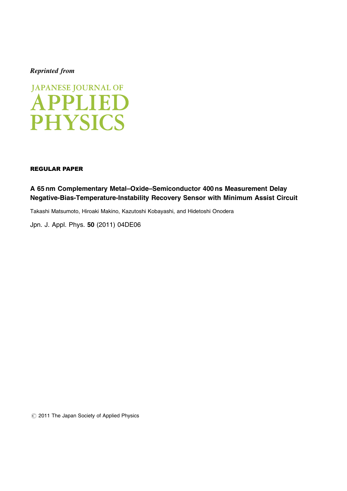## Reprinted from



## REGULAR PAPER

A 65 nm Complementary Metal–Oxide–Semiconductor 400 ns Measurement Delay Negative-Bias-Temperature-Instability Recovery Sensor with Minimum Assist Circuit

Takashi Matsumoto, Hiroaki Makino, Kazutoshi Kobayashi, and Hidetoshi Onodera

[Jpn. J. Appl. Phys.](http://dx.doi.org/10.1143/JJAP.50.04DE06) 50 (2011) 04DE06

 $\circled{c}$  2011 The Japan Society of Applied Physics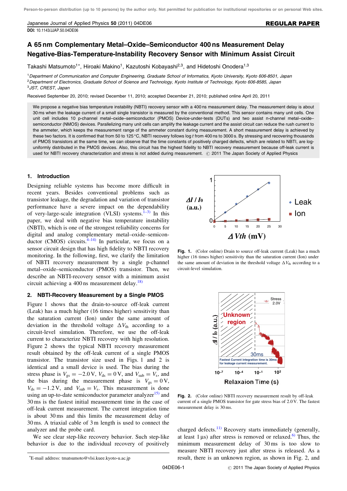Japanese Journal of Applied Physics 50 (2011) 04DE06 [DOI:](http://dx.doi.org/10.1143/JJAP.50.04DE06) [10.1143/JJAP.50.04DE06](http://dx.doi.org/10.1143/JJAP.50.04DE06)

### REGULAR PAPER

# A 65 nm Complementary Metal–Oxide–Semiconductor 400 ns Measurement Delay Negative-Bias-Temperature-Instability Recovery Sensor with Minimum Assist Circuit

Takashi Matsumoto<sup>1\*</sup>, Hiroaki Makino<sup>1</sup>, Kazutoshi Kobayashi<sup>2,3</sup>, and Hidetoshi Onodera<sup>1,3</sup>

<sup>1</sup>Department of Communication and Computer Engineering, Graduate School of Informatics, Kyoto University, Kyoto 606-8501, Japan <sup>2</sup> Department of Electronics, Graduate School of Science and Technology, Kyoto Institute of Technology, Kyoto 606-8585, Japan <sup>3</sup>JST, CREST, Japan

Received September 20, 2010; revised December 11, 2010; accepted December 21, 2010; published online April 20, 2011

We propose a negative bias temperature instability (NBTI) recovery sensor with a 400 ns measurement delay. The measurement delay is about 30 ms when the leakage current of a small single transistor is measured by the conventional method. This sensor contains many unit cells. One unit cell includes 10 p-channel metal–oxide–semiconductor (PMOS) Device-under-tests (DUTs) and two assist n-channel metal–oxide– semiconductor (NMOS) devices. Parallelizing many unit cells can amplify the leakage current and the assist circuit can reduce the rush current to the ammeter, which keeps the measurement range of the ammeter constant during measurement. A short measurement delay is achieved by these two factors. It is confirmed that from 50 to 125 °C, NBTI recovery follows log t from 400 ns to 3000 s. By stressing and recovering thousands of PMOS transistors at the same time, we can observe that the time constants of positively charged defects, which are related to NBTI, are loguniformly distributed in the PMOS devices. Also, this circuit has the highest fidelity to NBTI recovery measurement because off-leak current is used for NBTI recovery characterization and stress is not added during measurement. © 2011 The Japan Society of Applied Physics

#### 1. Introduction

Designing reliable systems has become more difficult in recent years. Besides conventional problems such as transistor leakage, the degradation and variation of transistor performance have a severe impact on the dependability of very-large-scale integration (VLSI) systems. $1-3$  In this paper, we deal with negative bias temperature instability (NBTI), which is one of the strongest reliability concerns for digital and analog complementary metal–oxide–semiconductor (CMOS) circuits. $\frac{4-14}{1}$  In particular, we focus on a sensor circuit design that has high fidelity to NBTI recovery monitoring. In the following, first, we clarify the limitation of NBTI recovery measurement by a single p-channel metal–oxide–semiconductor (PMOS) transistor. Then, we describe an NBTI-recovery sensor with a minimum assist circuit achieving a 400 ns measurement delay. $\frac{18}{18}$ 

#### 2. NBTI-Recovery Measurement by a Single PMOS

Figure 1 shows that the drain-to-source off-leak current (Leak) has a much higher (16 times higher) sensitivity than the saturation current (Ion) under the same amount of deviation in the threshold voltage  $\Delta V_{th}$  according to a circuit-level simulation. Therefore, we use the off-leak current to characterize NBTI recovery with high resolution. Figure 2 shows the typical NBTI recovery measurement result obtained by the off-leak current of a single PMOS transistor. The transistor size used in Figs. 1 and 2 is identical and a small device is used. The bias during the stress phase is  $V_{gs} = -2.0 \text{ V}$ ,  $V_{ds} = 0 \text{ V}$ , and  $V_{sub} = V_s$ , and the bias during the measurement phase is  $V_{gs} = 0 \text{ V}$ ,  $V_{ds} = -1.2 \text{ V}$ , and  $V_{sub} = V_s$ . This measurement is done using an up-to-date semiconductor parameter analyzer $15$ ) and 30 ms is the fastest initial measurement time in the case of off-leak current measurement. The current integration time is about 30 ms and this limits the measurement delay of 30 ms. A triaxial cable of 3 m length is used to connect the analyzer and the probe card.

We see clear step-like recovery behavior. Such step-like behavior is due to the individual recovery of positively



Fig. 1. (Color online) Drain to source off-leak current (Leak) has a much higher (16 times higher) sensitivity than the saturation current (Ion) under the same amount of deviation in the threshold voltage  $\Delta V_{th}$  according to a circuit-level simulation.



Fig. 2. (Color online) NBTI recovery measurement result by off-leak current of a single PMOS transistor for gate stress bias of 2.0 V. The fastest measurement delay is 30 ms.

charged defects.<sup>[11\)](#page-4-0)</sup> Recovery starts immediately (generally, at least  $1 \mu s$ ) after stress is removed or relaxed.<sup>[6\)](#page-4-0)</sup> Thus, the minimum measurement delay of 30 ms is too slow to measure NBTI recovery just after stress is released. As a result, there is an unknown region, as shown in Fig. 2, and

E-mail address: tmatsumoto@vlsi.kuee.kyoto-u.ac.jp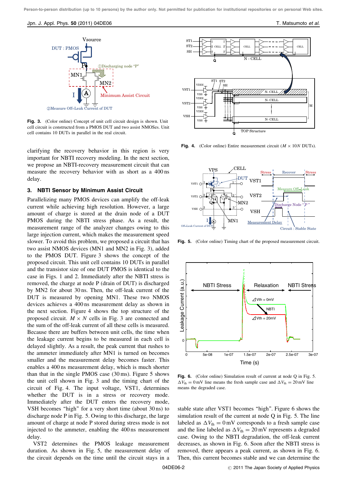Jpn. J. Appl. Phys. 50 (2011) 04DE06 T. Matsumoto et al.



Fig. 3. (Color online) Concept of unit cell circuit design is shown. Unit cell circuit is constructed from a PMOS DUT and two assist NMOSes. Unit cell contains 10 DUTs in parallel in the real circuit.

clarifying the recovery behavior in this region is very important for NBTI recovery modeling. In the next section, we propose an NBTI-recovery measurement circuit that can measure the recovery behavior with as short as a 400 ns delay.

#### 3. NBTI Sensor by Minimum Assist Circuit

Parallelizing many PMOS devices can amplify the off-leak current while achieving high resolution. However, a large amount of charge is stored at the drain node of a DUT PMOS during the NBTI stress phase. As a result, the measurement range of the analyzer changes owing to this large injection current, which makes the measurement speed slower. To avoid this problem, we proposed a circuit that has two assist NMOS devices (MN1 and MN2 in Fig. 3), added to the PMOS DUT. Figure 3 shows the concept of the proposed circuit. This unit cell contains 10 DUTs in parallel and the transistor size of one DUT PMOS is identical to the case in Figs. 1 and 2. Immediately after the NBTI stress is removed, the charge at node P (drain of DUT) is discharged by MN2 for about 30 ns. Then, the off-leak current of the DUT is measured by opening MN1. These two NMOS devices achieves a 400 ns measurement delay as shown in the next section. Figure 4 shows the top structure of the proposed circuit.  $M \times N$  cells in Fig. 3 are connected and the sum of the off-leak current of all these cells is measured. Because there are buffers between unit cells, the time when the leakage current begins to be measured in each cell is delayed slightly. As a result, the peak current that rushes to the ammeter immediately after MN1 is turned on becomes smaller and the measurement delay becomes faster. This enables a 400 ns measurement delay, which is much shorter than that in the single PMOS case  $(30 \text{ ms})$ . Figure 5 shows the unit cell shown in Fig. 3 and the timing chart of the circuit of Fig. 4. The input voltage, VST1, determines whether the DUT is in a stress or recovery mode. Immediately after the DUT enters the recovery mode, VSH becomes ''high'' for a very short time (about 30 ns) to discharge node P in Fig. 5. Owing to this discharge, the large amount of charge at node P stored during stress mode is not injected to the ammeter, enabling the 400 ns measurement delay.

VST2 determines the PMOS leakage measurement duration. As shown in Fig. 5, the measurement delay of the circuit depends on the time until the circuit stays in a



Fig. 4. (Color online) Entire measurement circuit ( $M \times 10N$  DUTs).



Fig. 5. (Color online) Timing chart of the proposed measurement circuit.



Fig. 6. (Color online) Simulation result of current at node Q in Fig. 5.  $\Delta V_{\text{th}} = 0$  mV line means the fresh sample case and  $\Delta V_{\text{th}} = 20$  mV line means the degraded case.

stable state after VST1 becomes ''high''. Figure 6 shows the simulation result of the current at node Q in Fig. 5. The line labeled as  $\Delta V_{\text{th}} = 0$  mV corresponds to a fresh sample case and the line labeled as  $\Delta V_{\text{th}} = 20 \text{ mV}$  represents a degraded case. Owing to the NBTI degradation, the off-leak current decreases, as shown in Fig. 6. Soon after the NBTI stress is removed, there appears a peak current, as shown in Fig. 6. Then, this current becomes stable and we can determine the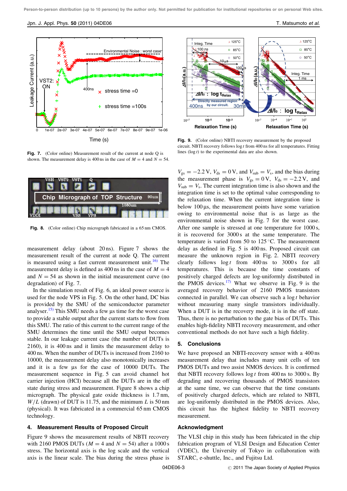

Fig. 7. (Color online) Measurement result of the current at node Q is

shown. The measurement delay is 400 ns in the case of  $M = 4$  and  $N = 54$ .



Fig. 8. (Color online) Chip micrograph fabricated in a 65 nm CMOS.

measurement delay (about 20 ns). Figure 7 shows the measurement result of the current at node Q. The current is measured using a fast current measurement unit.<sup>[16\)](#page-4-0)</sup> The measurement delay is defined as 400 ns in the case of  $M = 4$ and  $N = 54$  as shown in the initial measurement curve (no degradation) of Fig. 7.

In the simulation result of Fig. 6, an ideal power source is used for the node VPS in Fig. 5. On the other hand, DC bias is provided by the SMU of the semiconductor parameter analyser.<sup>[15\)](#page-4-0)</sup> This SMU needs a few us time for the worst case to provide a stable output after the current starts to flow from this SMU. The ratio of this current to the current range of the SMU determines the time until the SMU output becomes stable. In our leakage current case (the number of DUTs is 2160), it is 400 ns and it limits the measurement delay to 400 ns. When the number of DUTs is increased from 2160 to 10000, the measurement delay also monotonically increases and it is a few  $\mu s$  for the case of 10000 DUTs. The measurement sequence in Fig. 5 can avoid channel hot carrier injection (HCI) because all the DUTs are in the off state during stress and measurement. Figure 8 shows a chip micrograph. The physical gate oxide thickness is 1.7 nm,  $W/L$  (drawn) of DUT is 11.75, and the minimum L is 50 nm (physical). It was fabricated in a commercial 65 nm CMOS technology.

#### 4. Measurement Results of Proposed Circuit

Figure 9 shows the measurement results of NBTI recovery with 2160 PMOS DUTs ( $M = 4$  and  $N = 54$ ) after a 1000 s stress. The horizontal axis is the log scale and the vertical axis is the linear scale. The bias during the stress phase is



Fig. 9. (Color online) NBTI recovery measurement by the proposed circuit. NBTI recovery follows log <sup>t</sup> from 400 ns for all temperatures. Fitting lines ( $log t$ ) to the experimental data are also shown.

 $V_{gs} = -2.2 \text{ V}$ ,  $V_{ds} = 0 \text{ V}$ , and  $V_{sub} = V_s$ , and the bias during the measurement phase is  $V_{gs} = 0 \text{ V}$ ,  $V_{ds} = -2.2 \text{ V}$ , and  $V_{sub} = V_s$ . The current integration time is also shown and the integration time is set to the optimal value corresponding to the relaxation time. When the current integration time is below  $100 \,\mu s$ , the measurement points have some variation owing to environmental noise that is as large as the environmental noise shown in Fig. 7 for the worst case. After one sample is stressed at one temperature for 1000 s, it is recovered for 3000 s at the same temperature. The temperature is varied from 50 to  $125^{\circ}$ C. The measurement delay as defined in Fig. 5 is 400 ns. Proposed circuit can measure the unknown region in Fig. 2. NBTI recovery clearly follows  $\log t$  from 400 ns to 3000 s for all temperatures. This is because the time constants of positively charged defects are log-uniformly distributed in the PMOS devices. $17$  What we observe in Fig. 9 is the averaged recovery behavior of 2160 PMOS transistors connected in parallel. We can observe such a  $\log t$  behavior without measuring many single transistors individually. When a DUT is in the recovery mode, it is in the off state. Thus, there is no perturbation to the gate bias of DUTs. This enables high-fidelity NBTI recovery measurement, and other conventional methods do not have such a high fidelity.

#### 5. Conclusions

We have proposed an NBTI-recovery sensor with a 400 ns measurement delay that includes many unit cells of ten PMOS DUTs and two assist NMOS devices. It is confirmed that NBTI recovery follows  $\log t$  from 400 ns to 3000 s. By degrading and recovering thousands of PMOS transistors at the same time, we can observe that the time constants of positively charged defects, which are related to NBTI, are log-uniformly distributed in the PMOS devices. Also, this circuit has the highest fidelity to NBTI recovery measurement.

#### Acknowledgment

The VLSI chip in this study has been fabricated in the chip fabrication program of VLSI Design and Education Center (VDEC), the University of Tokyo in collaboration with STARC, e-shuttle, Inc., and Fujitsu Ltd.